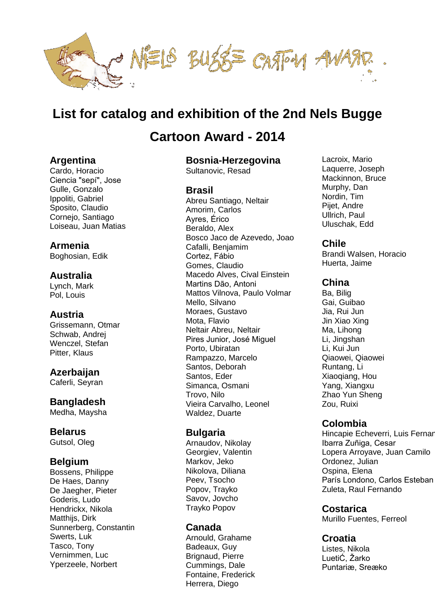

# **[List for catalog and exhibition of the 2nd Nels Bugge](http://www.nielsbuggeaward.org/participants.html)**

# **[Cartoon Award](http://www.nielsbuggeaward.org/participants.html) - 2014**

# **Argentina**

Cardo, Horacio Ciencia "sepí", Jose Gulle, Gonzalo Ippoliti, Gabriel Sposito, Claudio Cornejo, Santiago Loiseau, Juan Matias

# **Armenia**

Boghosian, Edik

# **Australia**

Lynch, Mark Pol, Louis

# **Austria**

Grissemann, Otmar Schwab, Andrej Wenczel, Stefan Pitter, Klaus

# **Azerbaijan**

Caferli, Seyran

# **Bangladesh**

Medha, Maysha

# **Belarus**

Gutsol, Oleg

# **Belgium**

Bossens, Philippe De Haes, Danny De Jaegher, Pieter Goderis, Ludo Hendrickx, Nikola Matthiis, Dirk Sunnerberg, Constantin Swerts, Luk Tasco, Tony Vernimmen, Luc Yperzeele, Norbert

# **Bosnia-Herzegovina**

Sultanovic, Resad

# **Brasil**

Abreu Santiago, Neltair Amorim, Carlos Ayres, Érico Beraldo, Alex Bosco Jaco de Azevedo, Joao Cafalli, Benjamim Cortez, Fábio Gomes, Claudio Macedo Alves, Cival Einstein Martins Dão, Antoni Mattos Vilnova, Paulo Volmar Mello, Silvano Moraes, Gustavo Mota, Flavio Neltair Abreu, Neltair Pires Junior, José Miguel Porto, Ubiratan Rampazzo, Marcelo Santos, Deborah Santos, Eder Simanca, Osmani Trovo, Nilo Vieira Carvalho, Leonel Waldez, Duarte

# **Bulgaria**

Arnaudov, Nikolay Georgiev, Valentin Markov, Jeko Nikolova, Diliana Peev, Tsocho Popov, Trayko Savov, Jovcho Trayko Popov

# **Canada**

Arnould, Grahame Badeaux, Guy Brignaud, Pierre Cummings, Dale Fontaine, Frederick Herrera, Diego

Lacroix, Mario Laquerre, Joseph Mackinnon, Bruce Murphy, Dan Nordin, Tim Pijet, Andre Ullrich, Paul Uluschak, Edd

# **Chile**

Brandi Walsen, Horacio Huerta, Jaime

### **China**

Ba, Bilig Gai, Guibao Jia, Rui Jun Jin Xiao Xing Ma, Lihong Li, Jingshan Li, Kui Jun Qiaowei, Qiaowei Runtang, Li Xiaoqiang, Hou Yang, Xiangxu Zhao Yun Sheng Zou, Ruixi

# **Colombia**

Hincapie Echeverri, Luis Fernar Ibarra Zuñiga, Cesar Lopera Arroyave, Juan Camilo Ordonez, Julian Ospina, Elena París Londono, Carlos Esteban Zuleta, Raul Fernando

# **Costarica**

Murillo Fuentes, Ferreol

# **Croatia**

Listes, Nikola LuetiĆ, Žarko Puntariæ, Sreæko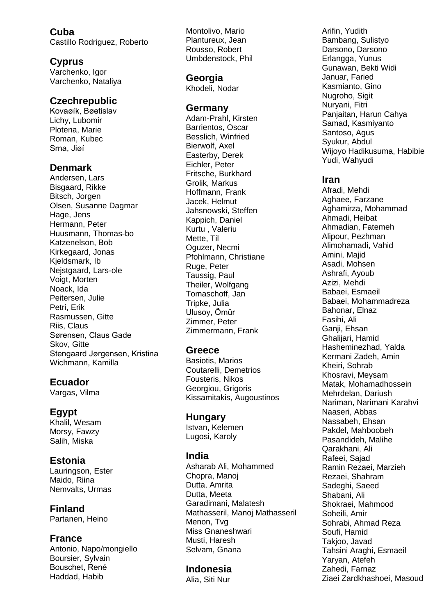**Cuba** Castillo Rodriguez, Roberto

# **Cyprus**

Varchenko, Igor Varchenko, Nataliya

# **Czechrepublic**

Kovaøík, Bøetislav Lichy, Lubomir Plotena, Marie Roman, Kubec Srna, Jiøí

# **Denmark**

Andersen, Lars Bisgaard, Rikke Bitsch, Jorgen Olsen, Susanne Dagmar Hage, Jens Hermann, Peter Huusmann, Thomas-bo Katzenelson, Bob Kirkegaard, Jonas Kjeldsmark, Ib Nejstgaard, Lars-ole Voigt, Morten Noack, Ida Peitersen, Julie Petri, Erik Rasmussen, Gitte Riis, Claus Sørensen, Claus Gade Skov, Gitte Stengaard Jørgensen, Kristina Wichmann, Kamilla

# **Ecuador**

Vargas, Vilma

# **Egypt**

Khalil, Wesam Morsy, Fawzy Salih, Miska

# **Estonia**

Lauringson, Ester Maido, Riina Nemvalts, Urmas

**Finland** Partanen, Heino

# **France**

Antonio, Napo/mongiello Boursier, Sylvain Bouschet, René Haddad, Habib

Montolivo, Mario Plantureux, Jean Rousso, Robert Umbdenstock, Phil

**Georgia** Khodeli, Nodar

### **Germany**

Adam-Prahl, Kirsten Barrientos, Oscar Besslich, Winfried Bierwolf, Axel Easterby, Derek Eichler, Peter Fritsche, Burkhard Grolik, Markus Hoffmann, Frank Jacek, Helmut Jahsnowski, Steffen Kappich, Daniel Kurtu , Valeriu Mette, Til Oguzer, Necmi Pfohlmann, Christiane Ruge, Peter Taussig, Paul Theiler, Wolfgang Tomaschoff, Jan Tripke, Julia Ulusoy, Ömür Zimmer, Peter Zimmermann, Frank

# **Greece**

Basiotis, Marios Coutarelli, Demetrios Fousteris, Nikos Georgiou, Grigoris Kissamitakis, Augoustinos

# **Hungary**

Istvan, Kelemen Lugosi, Karoly

# **India**

Asharab Ali, Mohammed Chopra, Manoj Dutta, Amrita Dutta, Meeta Garadimani, Malatesh Mathasseril, Manoj Mathasseril Menon, Tvg Miss Gnaneshwari Musti, Haresh Selvam, Gnana

# **Indonesia**

Alia, Siti Nur

Arifin, Yudith Bambang, Sulistyo Darsono, Darsono Erlangga, Yunus Gunawan, Bekti Widi Januar, Faried Kasmianto, Gino Nugroho, Sigit Nuryani, Fitri Panjaitan, Harun Cahya Samad, Kasmiyanto Santoso, Agus Syukur, Abdul Wijoyo Hadikusuma, Habibie Yudi, Wahyudi

### **Iran**

Afradi, Mehdi Aghaee, Farzane Aghamirza, Mohammad Ahmadi, Heibat Ahmadian, Fatemeh Alipour, Pezhman Alimohamadi, Vahid Amini, Majid Asadi, Mohsen Ashrafi, Ayoub Azizi, Mehdi Babaei, Esmaeil Babaei, Mohammadreza Bahonar, Elnaz Fasihi, Ali Ganji, Ehsan Ghalijari, Hamid Hasheminezhad, Yalda Kermani Zadeh, Amin Kheiri, Sohrab Khosravi, Meysam Matak, Mohamadhossein Mehrdelan, Dariush Nariman, Narimani Karahvi Naaseri, Abbas Nassabeh, Ehsan Pakdel, Mahboobeh Pasandideh, Malihe Qarakhani, Ali Rafeei, Sajad Ramin Rezaei, Marzieh Rezaei, Shahram Sadeghi, Saeed Shabani, Ali Shokraei, Mahmood Soheili, Amir Sohrabi, Ahmad Reza Soufi, Hamid Takjoo, Javad Tahsini Araghi, Esmaeil Yaryan, Atefeh Zahedi, Farnaz Ziaei Zardkhashoei, Masoud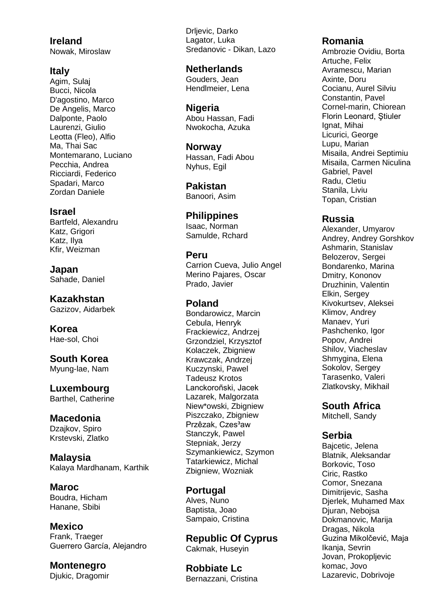**Ireland** Nowak, Miroslaw

#### **Italy**

Agim, Sulaj Bucci, Nicola D'agostino, Marco De Angelis, Marco Dalponte, Paolo Laurenzi, Giulio Leotta (Fleo), Alfio Ma, Thai Sac Montemarano, Luciano Pecchia, Andrea Ricciardi, Federico Spadari, Marco Zordan Daniele

#### **Israel**

Bartfeld, Alexandru Katz, Grigori Katz, Ilya Kfir, Weizman

**Japan** Sahade, Daniel

**Kazakhstan** Gazizov, Aidarbek

**Korea** Hae -sol, Choi

**South Korea** Myung -lae, Nam

#### **Luxembourg** Barthel, Catherine

# **Macedonia**

Dzajkov, Spiro Krstevski, Zlatko

**Malaysia** Kalaya Mardhanam, Karthik

**Maroc** Boudra, Hicham Hanane, Sbibi

**Mexico** Frank, Traeger Guerrero García, Alejandro

**Montenegro** Djukic, Dragomir Drljevic, Darko Lagator, Luka Sredanovic - Dikan, Lazo

# **Netherlands**

Gouders, Jean Hendlmeier, Lena

# **Nigeria**

Abou Hassan, Fadi Nwokocha, Azuka

#### **Norway**

Hassan, Fadi Abou Nyhus, Egil

**Pakistan** Banoori, Asim

**Philippines** Isaac, Norman Samulde, Rchard

#### **Peru**

Carrion Cueva, Julio Angel Merino Pajares, Oscar Prado, Javier

# **Poland**

Bondarowicz, Marcin Cebula, Henryk Frackiewicz, Andrzej Grzondziel, Krzysztof Kolaczek, Zbigniew Krawczak, Andrzej Kuczynski, Pawel Tadeusz Krotos Lanckoroñski, Jacek Lazarek, Malgorzata Niew\*owski, Zbigniew Piszczako, Zbigniew Przêzak, Czes<sup>3</sup>aw Stanczyk, Pawel Stepniak, Jerzy Szymankiewicz, Szymon Tatarkiewicz, Michal Zbigniew, Wozniak

**Portugal** Alves, Nuno Baptista, Joao Sampaio, Cristina

**Republic Of Cyprus** Cakmak, Huseyin

**Robbiate Lc** Bernazzani, Cristina

#### **Romania**

Ambrozie Ovidiu, Borta Artuche, Felix Avramescu, Marian Axinte, Doru Cocianu, Aurel Silviu Constantin, Pavel Cornel -marin, Chiorean Florin Leonard, Ştiuler Ignat, Mihai Licurici, George Lupu, Marian Misaila, Andrei Septimiu Misaila, Carmen Niculina Gabriel, Pavel Radu, Cletiu Stanila, Liviu Topan, Cristian

#### **Russia**

Alexander, Umyarov Andrey, Andrey Gorshkov Ashmarin, Stanislav Belozerov, Sergei Bondarenko, Marina Dmitry, Kononov Druzhinin, Valentin Elkin, Sergey Kivokurtsev, Aleksei Klimov, Andrey Manaev, Yuri Pashchenko, Igor Popov, Andrei Shilov, Viacheslav Shmygina, Elena Sokolov, Sergey Tarasenko, Valeri Zlatkovsky, Mikhail

# **South Africa**

Mitchell, Sandy

#### **Serbia**

Bajcetic, Jelena Blatnik, Aleksandar Borkovic, Toso Ciric, Rastko Comor, Snezana Dimitrijevic, Sasha Djerlek, Muhamed Max Djuran, Nebojsa Dokmanovic, Marija Dragas, Nikola Guzina Mikolčević, Maja Ikanja, Sevrin Jovan, Prokopljevic komac, Jovo Lazarevic, Dobrivoje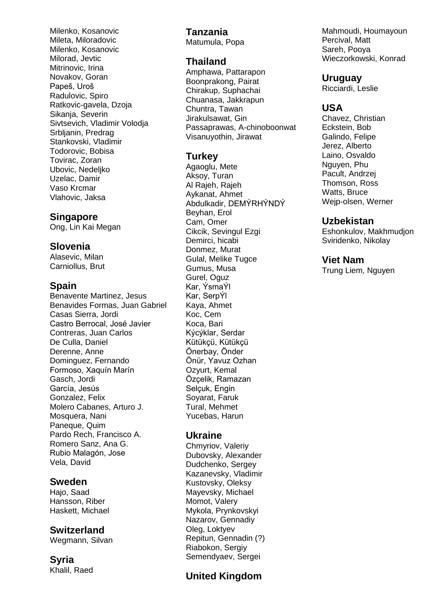Milenko, Kosanovic Mileta, Miloradovic Milenko, Kosanovic Milorad, Jevtic Mitrinovic, Irina Novakov, Goran Papeš, Uroš Radulovic, Spiro Ratkovic-gavela, Dzoja Sikanja, Severin Sivtsevich, Vladimir Volodja Srbljanin, Predrag Stankovski, Vladimir Todorovic, Bobisa Tovirac, Zoran Ubovic, Nedeljko Uzelac, Damir Vaso Krcmar Vlahovic, Jaksa

#### **Singapore**

Ong, Lin Kai Megan

### **Slovenia**

Alasevic, Milan Carniollus, Brut

# **Spain**

Benavente Martinez, Jesus Benavides Formas, Juan Gabriel Casas Sierra, Jordi Castro Berrocal, José Javier Contreras, Juan Carlos De Culla, Daniel Derenne, Anne Dominguez, Fernando Formoso, Xaquín Marín Gasch, Jordi García, Jesús Gonzalez, Felix Molero Cabanes, Arturo J. Mosquera, Nani Paneque, Quim Pardo Rech, Francisco A. Romero Sanz, Ana G. Rubio Malagón, Jose Vela, David

# **Sweden**

Hajo, Saad Hansson, Riber Haskett, Michael

# **Switzerland**

Wegmann, Silvan

**Syria** Khalil, Raed

# **Tanzania**

Matumula, Popa

# **Thailand**

Amphawa, Pattarapon Boonprakong, Pairat Chirakup, Suphachai Chuanasa, Jakkrapun Chuntra, Tawan Jirakulsawat, Gin Passaprawas, A-chinoboonwat Visanuyothin, Jirawat

# **Turkey**

Agaoglu, Mete Aksoy, Turan Al Rajeh, Rajeh Aykanat, Ahmet Abdulkadir, DEMÝRHÝNDÝ Beyhan, Erol Cam, Omer Cikcik, Sevingul Ezgi Demirci, hicabi Donmez, Murat Gulal, Melike Tugce Gumus, Musa Gurel, Oguz Kar, ÝsmaÝl Kar, SerpÝl Kaya, Ahmet Koc, Cem Koca, Bari Kýcýklar, Serdar Kütükçü, Kütükçü Önerbay, Önder Önür, Yavuz Ozhan Ozyurt, Kemal Özçelik, Ramazan Selcuk, Engin Soyarat, Faruk Tural, Mehmet Yucebas, Harun

# **Ukraine**

Chmyriov, Valeriy Dubovsky, Alexander Dudchenko, Sergey Kazanevsky, Vladimir Kustovsky, Oleksy Mayevsky, Michael Momot, Valery Mykola, Prynkovskyi Nazarov, Gennadiy Oleg, Loktyev Repitun, Gennadin (?) Riabokon, Sergiy Semendyaev, Sergei

# **United Kingdom**

Mahmoudi, Houmayoun Percival, Matt Sareh, Pooya Wieczorkowski, Konrad

### **Uruguay**

Ricciardi, Leslie

# **USA**

Chavez, Christian Eckstein, Bob Galindo, Felipe Jerez, Alberto Laino, Osvaldo Nguyen, Phu Pacult, Andrzej Thomson, Ross Watts, Bruce Wejp-olsen, Werner

# **Uzbekistan**

Eshonkulov, Makhmudjon Sviridenko, Nikolay

# **Viet Nam**

Trung Liem, Nguyen